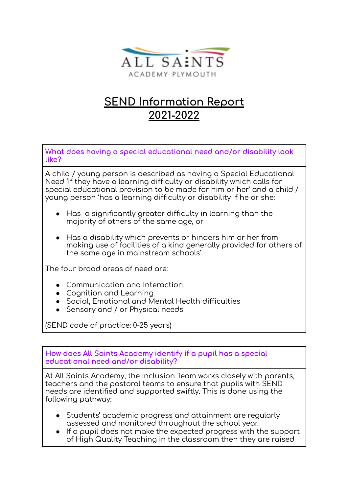

# **SEND Information Report 2021-2022**

**What does having a special educational need and/or disability look like?**

A child / young person is described as having a Special Educational Need 'if they have a learning difficulty or disability which calls for special educational provision to be made for him or her' and a child / young person 'has a learning difficulty or disability if he or she:

- Has a significantly greater difficulty in learning than the majority of others of the same age, or
- Has a disability which prevents or hinders him or her from making use of facilities of a kind generally provided for others of the same age in mainstream schools'

The four broad areas of need are:

- Communication and Interaction
- Cognition and Learning
- Social, Emotional and Mental Health difficulties
- Sensory and / or Physical needs

(SEND code of practice: 0-25 years)

**How does All Saints Academy identify if a pupil has a special educational need and/or disability?**

At All Saints Academy, the Inclusion Team works closely with parents, teachers and the pastoral teams to ensure that pupils with SEND needs are identified and supported swiftly. This is done using the following pathway:

- Students' academic progress and attainment are regularly assessed and monitored throughout the school year.
- If a pupil does not make the expected progress with the support of High Quality Teaching in the classroom then they are raised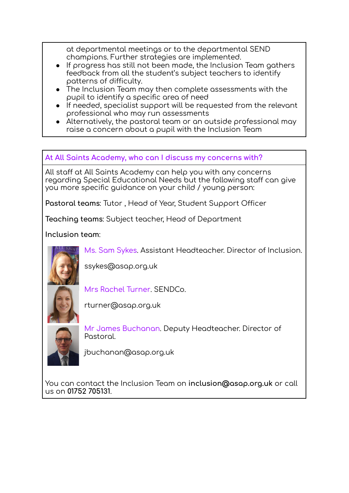at departmental meetings or to the departmental SEND champions. Further strategies are implemented.

- If progress has still not been made, the Inclusion Team gathers feedback from all the student's subject teachers to identify patterns of difficulty.
- The Inclusion Team may then complete assessments with the pupil to identify a specific area of need
- If needed, specialist support will be requested from the relevant professional who may run assessments
- Alternatively, the pastoral team or an outside professional may raise a concern about a pupil with the Inclusion Team

**At All Saints Academy, who can I discuss my concerns with?**

All staff at All Saints Academy can help you with any concerns regarding Special Educational Needs but the following staff can give you more specific guidance on your child / young person:

**Pastoral teams**: Tutor , Head of Year, Student Support Officer

**Teaching teams**: Subject teacher, Head of Department

**Inclusion team**:

Ms. Sam Sykes. Assistant Headteacher. Director of Inclusion.

ssykes@asap.org.uk

Mrs Rachel Turner. SENDCo.

[rturner@asap.org.uk](mailto:rturner@asap.org.uk)



Mr James Buchanan. Deputy Headteacher. Director of Pastoral.

[jbuchanan@asap.org.uk](mailto:jbuchanan@asap.org.uk)

You can contact the Inclusion Team on **[inclusion@asap.org.uk](mailto:inclusion@asap.org.uk)** or call us on **01752 705131**.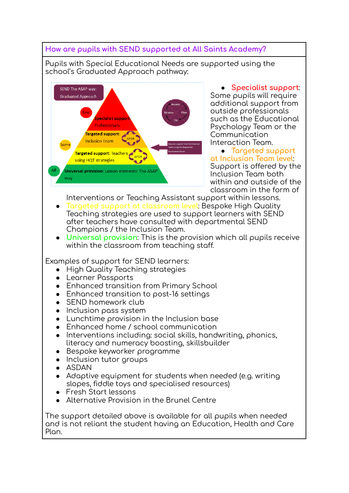# **How are pupils with SEND supported at All Saints Academy?**

Pupils with Special Educational Needs are supported using the school's Graduated Approach pathway:



● **Specialist support**: Some pupils will require additional support from outside professionals such as the Educational Psychology Team or the Communication Interaction Team.

● **Targeted support at Inclusion Team level**: Support is offered by the Inclusion Team both within and outside of the classroom in the form of

Interventions or Teaching Assistant support within lessons.

- **Targeted support at classroom level**: Bespoke High Quality Teaching strategies are used to support learners with SEND after teachers have consulted with departmental SEND Champions / the Inclusion Team.
- **Universal provision**: This is the provision which all pupils receive within the classroom from teaching staff.

Examples of support for SEND learners:

- High Quality Teaching strategies
- Learner Passports
- Enhanced transition from Primary School
- Enhanced transition to post-16 settings
- SEND homework club
- Inclusion pass system
- Lunchtime provision in the Inclusion base
- Enhanced home / school communication
- Interventions including: social skills, handwriting, phonics, literacy and numeracy boosting, skillsbuilder
- Bespoke keyworker programme
- Inclusion tutor groups
- ASDAN
- Adaptive equipment for students when needed (e.g. writing slopes, fiddle toys and specialised resources)
- Fresh Start lessons
- Alternative Provision in the Brunel Centre

The support detailed above is available for all pupils when needed and is not reliant the student having an Education, Health and Care Plan.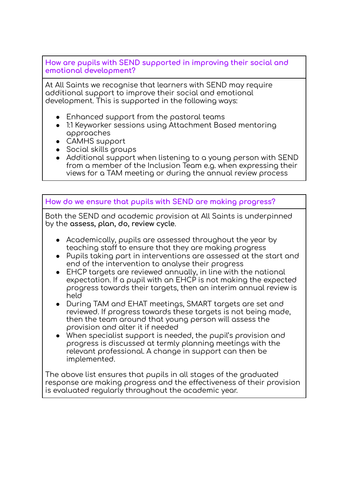**How are pupils with SEND supported in improving their social and emotional development?**

At All Saints we recognise that learners with SEND may require additional support to improve their social and emotional development. This is supported in the following ways:

- Enhanced support from the pastoral teams
- 1:1 Keyworker sessions using Attachment Based mentoring approaches
- CAMHS support
- Social skills groups
- Additional support when listening to a young person with SEND from a member of the Inclusion Team e.g. when expressing their views for a TAM meeting or during the annual review process

# **How do we ensure that pupils with SEND are making progress?**

Both the SEND and academic provision at All Saints is underpinned by the **assess, plan, do, review cycle**.

- Academically, pupils are assessed throughout the year by teaching staff to ensure that they are making progress
- Pupils taking part in interventions are assessed at the start and end of the intervention to analyse their progress
- EHCP targets are reviewed annually, in line with the national expectation. If a pupil with an EHCP is not making the expected progress towards their targets, then an interim annual review is held
- During TAM and EHAT meetings, SMART targets are set and reviewed. If progress towards these targets is not being made, then the team around that young person will assess the provision and alter it if needed
- When specialist support is needed, the pupil's provision and progress is discussed at termly planning meetings with the relevant professional. A change in support can then be implemented.

The above list ensures that pupils in all stages of the graduated response are making progress and the effectiveness of their provision is evaluated regularly throughout the academic year.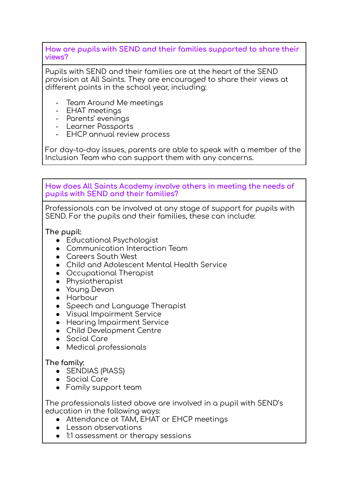**How are pupils with SEND and their families supported to share their views?**

Pupils with SEND and their families are at the heart of the SEND provision at All Saints. They are encouraged to share their views at different points in the school year, including:

- Team Around Me meetings
- EHAT meetings
- Parents' evenings
- Learner Passports
- EHCP annual review process

For day-to-day issues, parents are able to speak with a member of the Inclusion Team who can support them with any concerns.

**How does All Saints Academy involve others in meeting the needs of pupils with SEND and their families?**

Professionals can be involved at any stage of support for pupils with SEND. For the pupils and their families, these can include:

**The pupil:**

- Educational Psychologist
- Communication Interaction Team
- Careers South West
- Child and Adolescent Mental Health Service
- Occupational Therapist
- Physiotherapist
- Young Devon
- Harbour
- Speech and Language Therapist
- Visual Impairment Service
- Hearing Impairment Service
- Child Development Centre
- Social Care
- Medical professionals

# **The family:**

- SENDIAS (PIASS)
- Social Care
- Family support team

The professionals listed above are involved in a pupil with SEND's education in the following ways:

- Attendance at TAM, EHAT or EHCP meetings
- Lesson observations
- 1:1 assessment or therapy sessions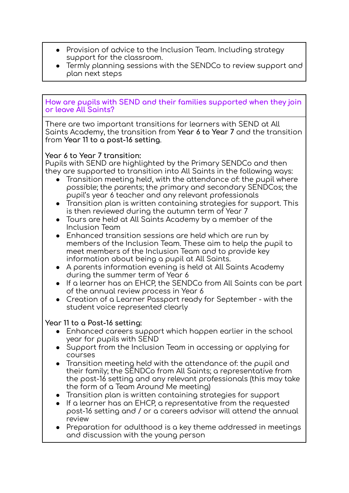- Provision of advice to the Inclusion Team. Including strategy support for the classroom.
- Termly planning sessions with the SENDCo to review support and plan next steps

**How are pupils with SEND and their families supported when they join or leave All Saints?**

There are two important transitions for learners with SEND at All Saints Academy, the transition from **Year 6 to Year 7** and the transition from **Year 11 to a post-16 setting**.

#### **Year 6 to Year 7 transition:**

Pupils with SEND are highlighted by the Primary SENDCo and then they are supported to transition into All Saints in the following ways:

- $\bullet$  Transition meeting held, with the attendance of: the pupil where possible; the parents; the primary and secondary SENDCos; the pupil's year 6 teacher and any relevant professionals
- Transition plan is written containing strategies for support. This is then reviewed during the autumn term of Year 7
- Tours are held at All Saints Academy by a member of the Inclusion Team
- Enhanced transition sessions are held which are run by members of the Inclusion Team. These aim to help the pupil to meet members of the Inclusion Team and to provide key information about being a pupil at All Saints.
- A parents information evening is held at All Saints Academy during the summer term of Year 6
- If a learner has an EHCP, the SENDCo from All Saints can be part of the annual review process in Year 6
- Creation of a Learner Passport ready for September with the student voice represented clearly

## **Year 11 to a Post-16 setting:**

- Enhanced careers support which happen earlier in the school year for pupils with SEND
- Support from the Inclusion Team in accessing or applying for courses
- Transition meeting held with the attendance of: the pupil and their family; the SENDCo from All Saints; a representative from the post-16 setting and any relevant professionals (this may take the form of a Team Around Me meeting)
- Transition plan is written containing strategies for support
- If a learner has an EHCP, a representative from the requested post-16 setting and / or a careers advisor will attend the annual review
- Preparation for adulthood is a key theme addressed in meetings and discussion with the young person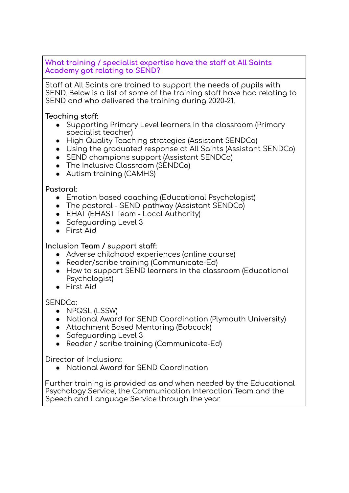**What training / specialist expertise have the staff at All Saints Academy got relating to SEND?**

Staff at All Saints are trained to support the needs of pupils with SEND. Below is a list of some of the training staff have had relating to SEND and who delivered the training during 2020-21.

### **Teaching staff:**

- Supporting Primary Level learners in the classroom (Primary specialist teacher)
- High Quality Teaching strategies (Assistant SENDCo)
- Using the graduated response at All Saints (Assistant SENDCo)
- SEND champions support (Assistant SENDCo)
- The Inclusive Classroom (SENDCo)
- Autism training (CAMHS)

#### **Pastoral:**

- Emotion based coaching (Educational Psychologist)
- The pastoral SEND pathway (Assistant SENDCo)
- EHAT (EHAST Team Local Authority)
- Safeguarding Level 3
- First Aid

#### **Inclusion Team / support staff:**

- Adverse childhood experiences (online course)
- Reader/scribe training (Communicate-Ed)
- How to support SEND learners in the classroom (Educational Psychologist)
- First Aid

## SENDCo:

- NPQSL (LSSW)
- National Award for SEND Coordination (Plymouth University)
- Attachment Based Mentoring (Babcock)
- Safeguarding Level 3
- Reader / scribe training (Communicate-Ed)

#### Director of Inclusion::

● National Award for SEND Coordination

Further training is provided as and when needed by the Educational Psychology Service, the Communication Interaction Team and the Speech and Language Service through the year.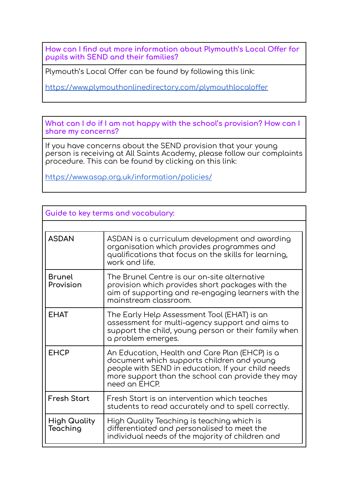**How can I find out more information about Plymouth's Local Offer for pupils with SEND and their families?**

Plymouth's Local Offer can be found by following this link:

<https://www.plymouthonlinedirectory.com/plymouthlocaloffer>

**What can I do if I am not happy with the school's provision? How can I share my concerns?**

If you have concerns about the SEND provision that your young person is receiving at All Saints Academy, please follow our complaints procedure. This can be found by clicking on this link:

<https://www.asap.org.uk/information/policies/>

| Guide to key terms and vocabulary: |                                                                                                                                                                                                                          |  |
|------------------------------------|--------------------------------------------------------------------------------------------------------------------------------------------------------------------------------------------------------------------------|--|
| <b>ASDAN</b>                       | ASDAN is a curriculum development and awarding<br>organisation which provides programmes and<br>qualifications that focus on the skills for learning,<br>work and life.                                                  |  |
| <b>Brunel</b><br>Provision         | The Brunel Centre is our on-site alternative<br>provision which provides short packages with the<br>aim of supporting and re-engaging learners with the<br>mainstream classroom.                                         |  |
| <b>EHAT</b>                        | The Early Help Assessment Tool (EHAT) is an<br>assessment for multi-agency support and aims to<br>support the child, young person or their family when<br>a problem emerges.                                             |  |
| <b>EHCP</b>                        | An Education, Health and Care Plan (EHCP) is a<br>document which supports children and young<br>people with SEND in education. If your child needs<br>more support than the school can provide they may<br>need on EHCP. |  |
| <b>Fresh Start</b>                 | Fresh Start is an intervention which teaches<br>students to read accurately and to spell correctly.                                                                                                                      |  |
| <b>High Quality</b><br>Teaching    | High Quality Teaching is teaching which is<br>differentiated and personalised to meet the<br>individual needs of the majority of children and                                                                            |  |